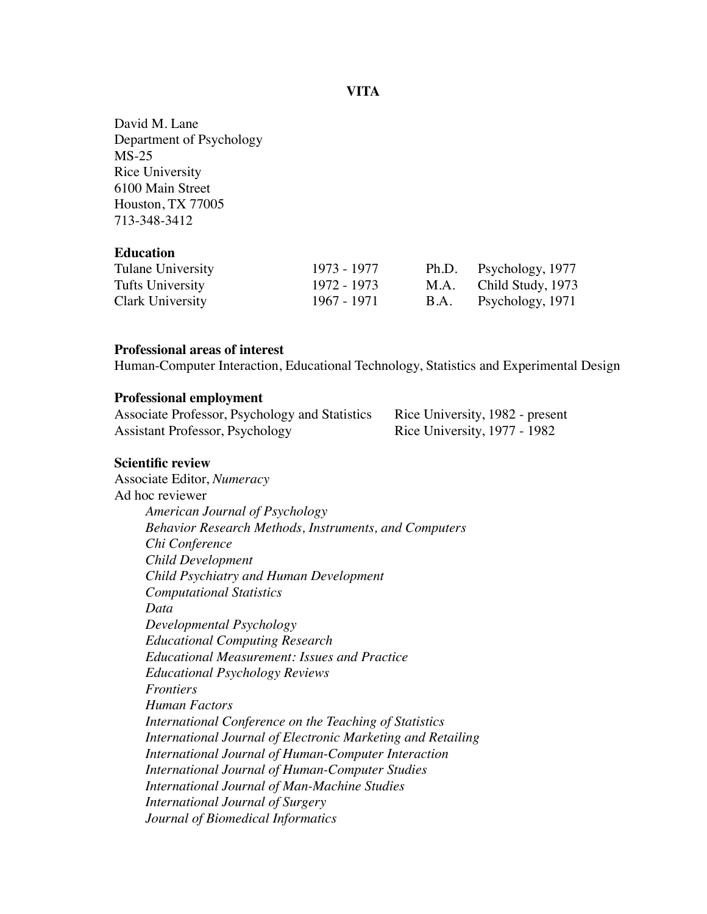### **VITA**

David M. Lane Department of Psychology MS-25 Rice University 6100 Main Street Houston, TX 77005 713-348-3412

#### **Education**

| Tulane University | 1973 - 1977 | Ph.D. Psychology, 1977 |
|-------------------|-------------|------------------------|
| Tufts University  | 1972 - 1973 | M.A. Child Study, 1973 |
| Clark University  | 1967 - 1971 | B.A. Psychology, 1971  |

# **Professional areas of interest**

Human-Computer Interaction, Educational Technology, Statistics and Experimental Design

#### **Professional employment**

| Associate Professor, Psychology and Statistics | Rice University, 1982 - present |
|------------------------------------------------|---------------------------------|
| Assistant Professor, Psychology                | Rice University, 1977 - 1982    |

### **Scientific review**

Associate Editor, *Numeracy* Ad hoc reviewer *American Journal of Psychology Behavior Research Methods, Instruments, and Computers Chi Conference Child Development Child Psychiatry and Human Development Computational Statistics Data Developmental Psychology Educational Computing Research Educational Measurement: Issues and Practice Educational Psychology Reviews Frontiers Human Factors International Conference on the Teaching of Statistics International Journal of Electronic Marketing and Retailing International Journal of Human-Computer Interaction International Journal of Human-Computer Studies International Journal of Man-Machine Studies International Journal of Surgery Journal of Biomedical Informatics*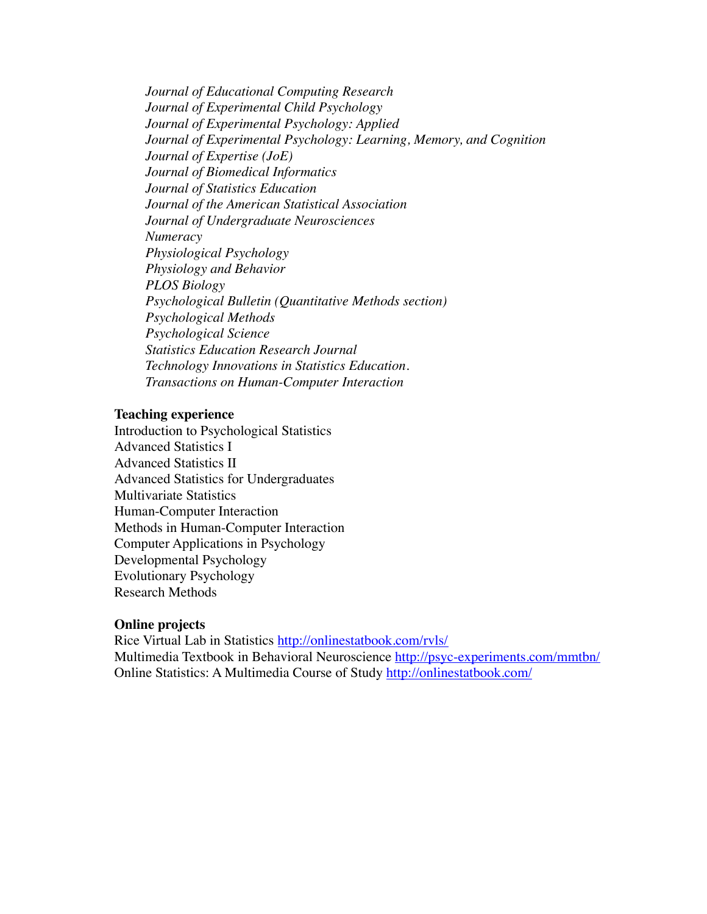*Journal of Educational Computing Research Journal of Experimental Child Psychology Journal of Experimental Psychology: Applied Journal of Experimental Psychology: Learning, Memory, and Cognition Journal of Expertise (JoE) Journal of Biomedical Informatics Journal of Statistics Education Journal of the American Statistical Association Journal of Undergraduate Neurosciences Numeracy Physiological Psychology Physiology and Behavior PLOS Biology Psychological Bulletin (Quantitative Methods section) Psychological Methods Psychological Science Statistics Education Research Journal Technology Innovations in Statistics Education. Transactions on Human-Computer Interaction*

#### **Teaching experience**

Introduction to Psychological Statistics Advanced Statistics I Advanced Statistics II Advanced Statistics for Undergraduates Multivariate Statistics Human-Computer Interaction Methods in Human-Computer Interaction Computer Applications in Psychology Developmental Psychology Evolutionary Psychology Research Methods

## **Online projects**

Rice Virtual Lab in Statistics <http://onlinestatbook.com/rvls/> Multimedia Textbook in Behavioral Neuroscience<http://psyc-experiments.com/mmtbn/> Online Statistics: A Multimedia Course of Study <http://onlinestatbook.com/>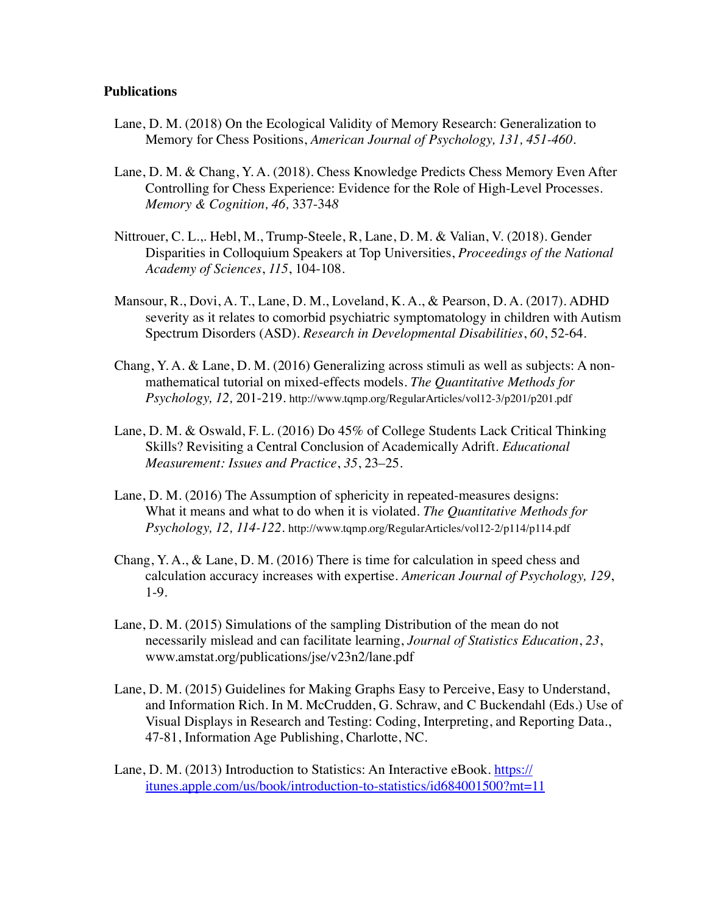## **Publications**

- Lane, D. M. (2018) On the Ecological Validity of Memory Research: Generalization to Memory for Chess Positions, *American Journal of Psychology, 131, 451-460.*
- Lane, D. M. & Chang, Y. A. (2018). Chess Knowledge Predicts Chess Memory Even After Controlling for Chess Experience: Evidence for the Role of High-Level Processes. *Memory & Cognition, 46,* 337-34*8*
- Nittrouer, C. L.,. Hebl, M., Trump-Steele, R, Lane, D. M. & Valian, V. (2018). Gender Disparities in Colloquium Speakers at Top Universities, *Proceedings of the National Academy of Sciences*, *115*, 104-108.
- Mansour, R., Dovi, A. T., Lane, D. M., Loveland, K. A., & Pearson, D. A. (2017). ADHD severity as it relates to comorbid psychiatric symptomatology in children with Autism Spectrum Disorders (ASD). *Research in Developmental Disabilities*, *60*, 52-64.
- Chang, Y. A. & Lane, D. M. (2016) Generalizing across stimuli as well as subjects: A nonmathematical tutorial on mixed-effects models. *The Quantitative Methods for Psychology, 12,* 201-219*.* http://www.tqmp.org/RegularArticles/vol12-3/p201/p201.pdf
- Lane, D. M. & Oswald, F. L. (2016) Do 45% of College Students Lack Critical Thinking Skills? Revisiting a Central Conclusion of Academically Adrift. *Educational Measurement: Issues and Practice*, *35*, 23–25.
- Lane, D. M. (2016) The Assumption of sphericity in repeated-measures designs: What it means and what to do when it is violated. *The Quantitative Methods for Psychology, 12, 114-122.* http://www.tqmp.org/RegularArticles/vol12-2/p114/p114.pdf
- Chang, Y. A., & Lane, D. M. (2016) There is time for calculation in speed chess and calculation accuracy increases with expertise. *American Journal of Psychology, 129*, 1-9.
- Lane, D. M. (2015) Simulations of the sampling Distribution of the mean do not necessarily mislead and can facilitate learning, *Journal of Statistics Education*, *23*, www.amstat.org/publications/jse/v23n2/lane.pdf
- Lane, D. M. (2015) Guidelines for Making Graphs Easy to Perceive, Easy to Understand, and Information Rich. In M. McCrudden, G. Schraw, and C Buckendahl (Eds.) Use of Visual Displays in Research and Testing: Coding, Interpreting, and Reporting Data., 47-81, Information Age Publishing, Charlotte, NC.
- Lane, D. M. (2013) Introduction to Statistics: An Interactive eBook. [https://](https://itunes.apple.com/us/book/introduction-to-statistics/id684001500?mt=11) [itunes.apple.com/us/book/introduction-to-statistics/id684001500?mt=11](https://itunes.apple.com/us/book/introduction-to-statistics/id684001500?mt=11)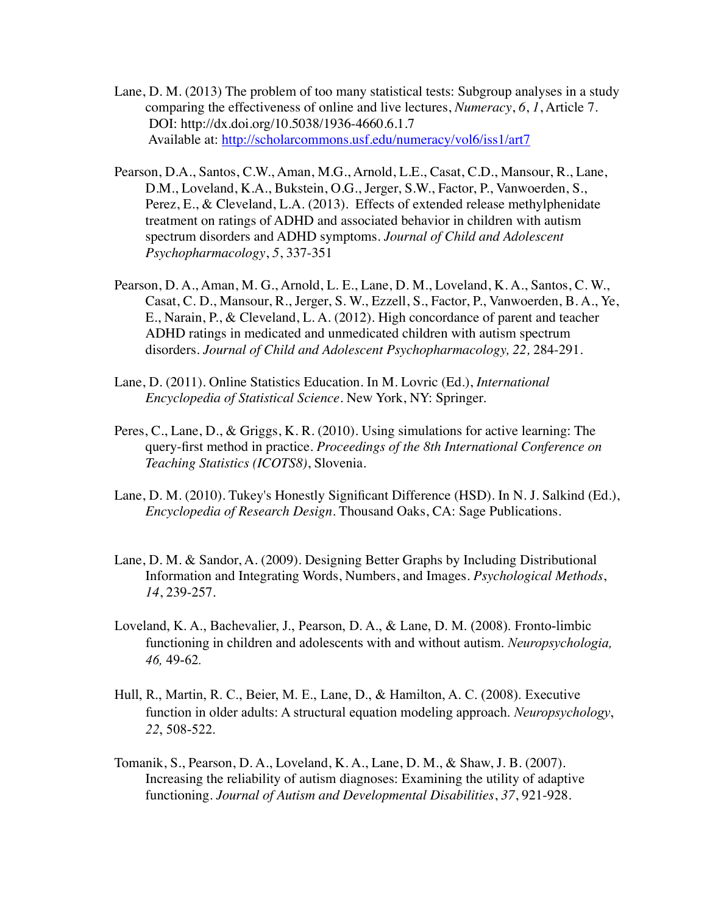- Lane, D. M. (2013) The problem of too many statistical tests: Subgroup analyses in a study comparing the effectiveness of online and live lectures, *Numeracy*, *6*, *1*, Article 7. DOI: http://dx.doi.org/10.5038/1936-4660.6.1.7 Available at:<http://scholarcommons.usf.edu/numeracy/vol6/iss1/art7>
- Pearson, D.A., Santos, C.W., Aman, M.G., Arnold, L.E., Casat, C.D., Mansour, R., Lane, D.M., Loveland, K.A., Bukstein, O.G., Jerger, S.W., Factor, P., Vanwoerden, S., Perez, E., & Cleveland, L.A. (2013). Effects of extended release methylphenidate treatment on ratings of ADHD and associated behavior in children with autism spectrum disorders and ADHD symptoms. *Journal of Child and Adolescent Psychopharmacology*, *5*, 337-351
- Pearson, D. A., Aman, M. G., Arnold, L. E., Lane, D. M., Loveland, K. A., Santos, C. W., Casat, C. D., Mansour, R., Jerger, S. W., Ezzell, S., Factor, P., Vanwoerden, B. A., Ye, E., Narain, P., & Cleveland, L. A. (2012). High concordance of parent and teacher ADHD ratings in medicated and unmedicated children with autism spectrum disorders. *Journal of Child and Adolescent Psychopharmacology, 22,* 284-291.
- Lane, D. (2011). Online Statistics Education. In M. Lovric (Ed.), *International Encyclopedia of Statistical Science*. New York, NY: Springer.
- Peres, C., Lane, D., & Griggs, K. R. (2010). Using simulations for active learning: The query-first method in practice. *Proceedings of the 8th International Conference on Teaching Statistics (ICOTS8)*, Slovenia.
- Lane, D. M. (2010). Tukey's Honestly Significant Difference (HSD). In N. J. Salkind (Ed.), *Encyclopedia of Research Design*. Thousand Oaks, CA: Sage Publications.
- Lane, D. M. & Sandor, A. (2009). Designing Better Graphs by Including Distributional Information and Integrating Words, Numbers, and Images. *Psychological Methods*, *14*, 239-257.
- Loveland, K. A., Bachevalier, J., Pearson, D. A., & Lane, D. M. (2008). Fronto-limbic functioning in children and adolescents with and without autism. *Neuropsychologia, 46,* 49-62*.*
- Hull, R., Martin, R. C., Beier, M. E., Lane, D., & Hamilton, A. C. (2008). Executive function in older adults: A structural equation modeling approach. *Neuropsychology*, *22*, 508-522.
- Tomanik, S., Pearson, D. A., Loveland, K. A., Lane, D. M., & Shaw, J. B. (2007). Increasing the reliability of autism diagnoses: Examining the utility of adaptive functioning. *Journal of Autism and Developmental Disabilities*, *37*, 921-928.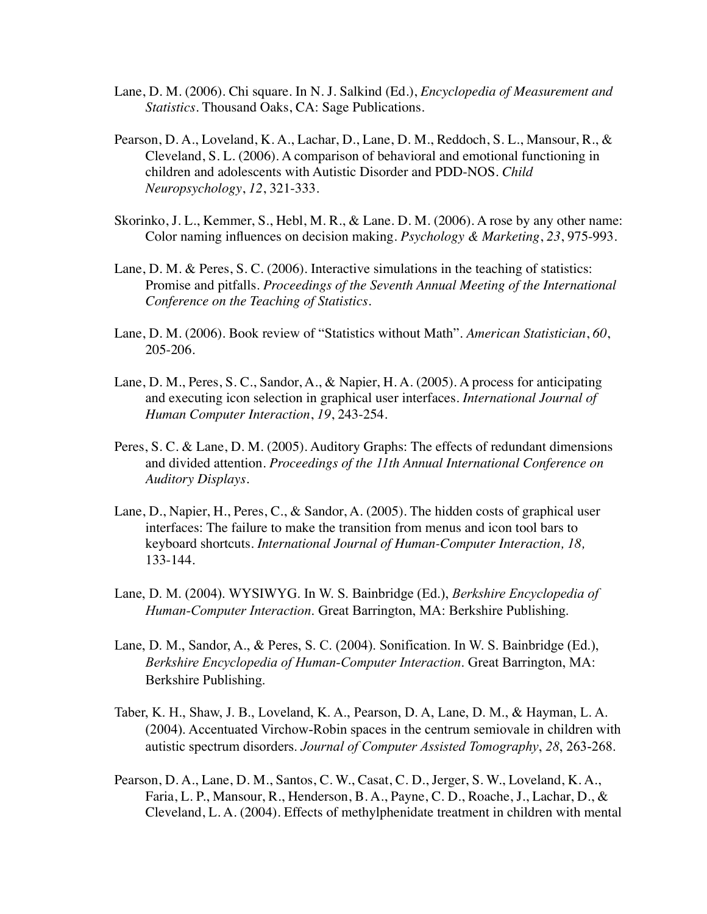- Lane, D. M. (2006). Chi square. In N. J. Salkind (Ed.), *Encyclopedia of Measurement and Statistics*. Thousand Oaks, CA: Sage Publications.
- Pearson, D. A., Loveland, K. A., Lachar, D., Lane, D. M., Reddoch, S. L., Mansour, R., & Cleveland, S. L. (2006). A comparison of behavioral and emotional functioning in children and adolescents with Autistic Disorder and PDD-NOS. *Child Neuropsychology*, *12*, 321-333.
- Skorinko, J. L., Kemmer, S., Hebl, M. R., & Lane. D. M. (2006). A rose by any other name: Color naming influences on decision making. *Psychology & Marketing*, *23*, 975-993.
- Lane, D. M. & Peres, S. C. (2006). Interactive simulations in the teaching of statistics: Promise and pitfalls. *Proceedings of the Seventh Annual Meeting of the International Conference on the Teaching of Statistics*.
- Lane, D. M. (2006). Book review of "Statistics without Math". *American Statistician*, *60*, 205-206.
- Lane, D. M., Peres, S. C., Sandor, A., & Napier, H. A. (2005). A process for anticipating and executing icon selection in graphical user interfaces. *International Journal of Human Computer Interaction*, *19*, 243-254.
- Peres, S. C. & Lane, D. M. (2005). Auditory Graphs: The effects of redundant dimensions and divided attention. *Proceedings of the 11th Annual International Conference on Auditory Displays*.
- Lane, D., Napier, H., Peres, C., & Sandor, A. (2005). The hidden costs of graphical user interfaces: The failure to make the transition from menus and icon tool bars to keyboard shortcuts. *International Journal of Human-Computer Interaction, 18,*  133-144.
- Lane, D. M. (2004). WYSIWYG. In W. S. Bainbridge (Ed.), *Berkshire Encyclopedia of Human-Computer Interaction*. Great Barrington, MA: Berkshire Publishing.
- Lane, D. M., Sandor, A., & Peres, S. C. (2004). Sonification. In W. S. Bainbridge (Ed.), *Berkshire Encyclopedia of Human-Computer Interaction*. Great Barrington, MA: Berkshire Publishing.
- Taber, K. H., Shaw, J. B., Loveland, K. A., Pearson, D. A, Lane, D. M., & Hayman, L. A. (2004). Accentuated Virchow-Robin spaces in the centrum semiovale in children with autistic spectrum disorders. *Journal of Computer Assisted Tomography*, *28*, 263-268.
- Pearson, D. A., Lane, D. M., Santos, C. W., Casat, C. D., Jerger, S. W., Loveland, K. A., Faria, L. P., Mansour, R., Henderson, B. A., Payne, C. D., Roache, J., Lachar, D., & Cleveland, L. A. (2004). Effects of methylphenidate treatment in children with mental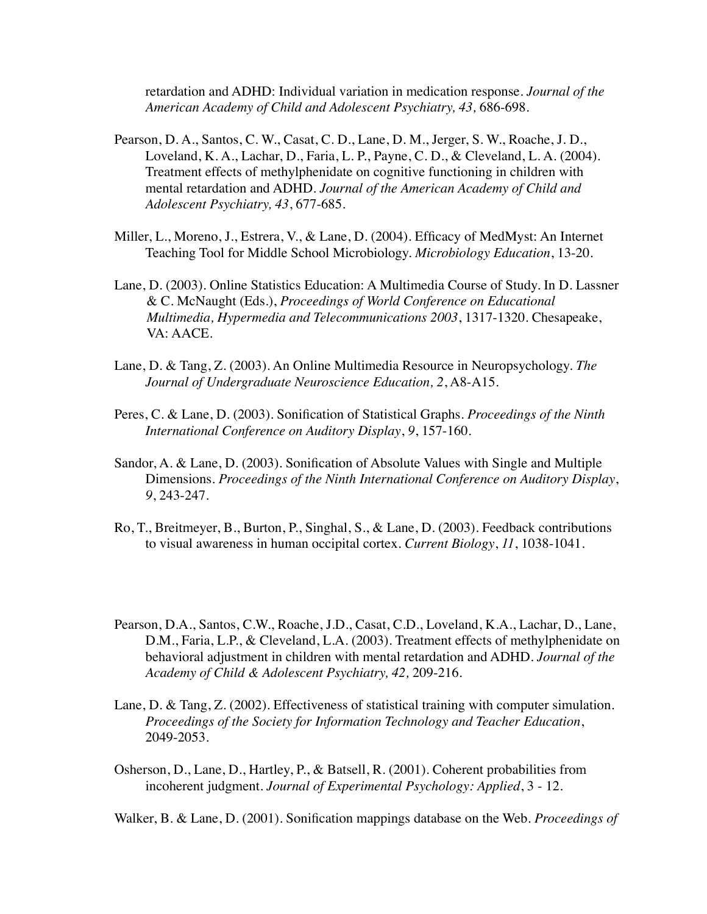retardation and ADHD: Individual variation in medication response*. Journal of the American Academy of Child and Adolescent Psychiatry, 43,* 686-698.

- Pearson, D. A., Santos, C. W., Casat, C. D., Lane, D. M., Jerger, S. W., Roache, J. D., Loveland, K. A., Lachar, D., Faria, L. P., Payne, C. D., & Cleveland, L. A. (2004). Treatment effects of methylphenidate on cognitive functioning in children with mental retardation and ADHD. *Journal of the American Academy of Child and Adolescent Psychiatry, 43*, 677-685.
- Miller, L., Moreno, J., Estrera, V., & Lane, D. (2004). Efficacy of MedMyst: An Internet Teaching Tool for Middle School Microbiology. *Microbiology Education*, 13-20.
- Lane, D. (2003). Online Statistics Education: A Multimedia Course of Study. In D. Lassner & C. McNaught (Eds.), *Proceedings of World Conference on Educational Multimedia, Hypermedia and Telecommunications 2003*, 1317-1320. Chesapeake, VA: AACE.
- Lane, D. & Tang, Z. (2003). An Online Multimedia Resource in Neuropsychology. *The Journal of Undergraduate Neuroscience Education, 2*, A8-A15.
- Peres, C. & Lane, D. (2003). Sonification of Statistical Graphs. *Proceedings of the Ninth International Conference on Auditory Display*, *9*, 157-160.
- Sandor, A. & Lane, D. (2003). Sonification of Absolute Values with Single and Multiple Dimensions. *Proceedings of the Ninth International Conference on Auditory Display*, *9*, 243-247.
- Ro, T., Breitmeyer, B., Burton, P., Singhal, S., & Lane, D. (2003). Feedback contributions to visual awareness in human occipital cortex. *Current Biology*, *11*, 1038-1041.
- Pearson, D.A., Santos, C.W., Roache, J.D., Casat, C.D., Loveland, K.A., Lachar, D., Lane, D.M., Faria, L.P., & Cleveland, L.A. (2003). Treatment effects of methylphenidate on behavioral adjustment in children with mental retardation and ADHD. *Journal of the Academy of Child & Adolescent Psychiatry, 42,* 209-216.
- Lane, D. & Tang, Z. (2002). Effectiveness of statistical training with computer simulation. *Proceedings of the Society for Information Technology and Teacher Education*, 2049-2053.
- Osherson, D., Lane, D., Hartley, P., & Batsell, R. (2001). Coherent probabilities from incoherent judgment. *Journal of Experimental Psychology: Applied*, 3 - 12.

Walker, B. & Lane, D. (2001). Sonification mappings database on the Web. *Proceedings of*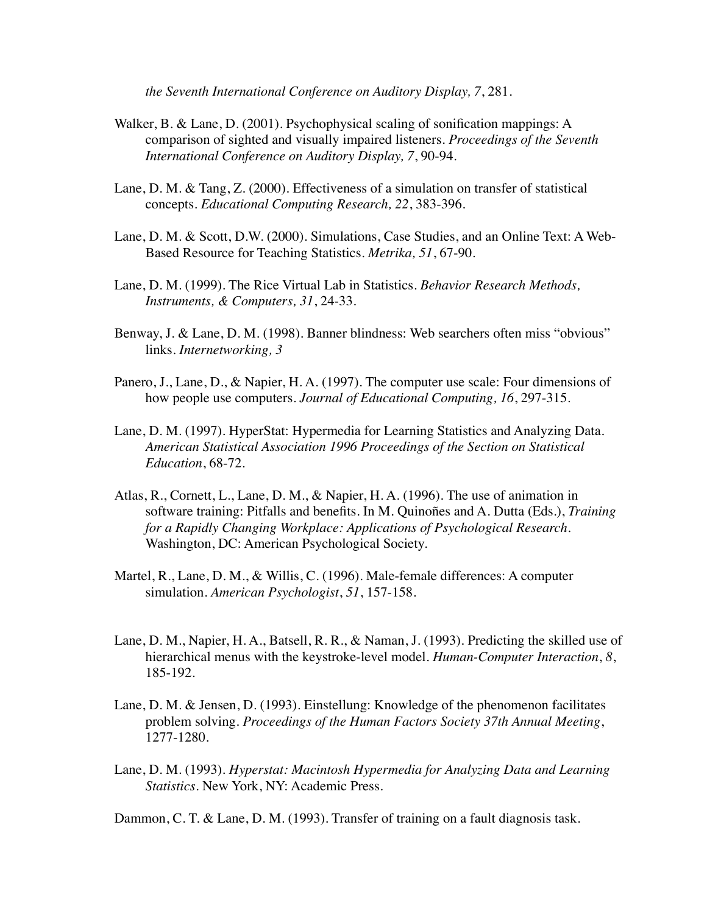*the Seventh International Conference on Auditory Display, 7*, 281.

- Walker, B. & Lane, D. (2001). Psychophysical scaling of sonification mappings: A comparison of sighted and visually impaired listeners. *Proceedings of the Seventh International Conference on Auditory Display, 7*, 90-94.
- Lane, D. M. & Tang, Z. (2000). Effectiveness of a simulation on transfer of statistical concepts. *Educational Computing Research, 22*, 383-396.
- Lane, D. M. & Scott, D.W. (2000). Simulations, Case Studies, and an Online Text: A Web-Based Resource for Teaching Statistics. *Metrika, 51*, 67-90.
- Lane, D. M. (1999). The Rice Virtual Lab in Statistics. *Behavior Research Methods, Instruments, & Computers, 31*, 24-33.
- Benway, J. & Lane, D. M. (1998). Banner blindness: Web searchers often miss "obvious" links. *Internetworking, 3*
- Panero, J., Lane, D., & Napier, H. A. (1997). The computer use scale: Four dimensions of how people use computers. *Journal of Educational Computing, 16*, 297-315.
- Lane, D. M. (1997). HyperStat: Hypermedia for Learning Statistics and Analyzing Data. *American Statistical Association 1996 Proceedings of the Section on Statistical Education*, 68-72.
- Atlas, R., Cornett, L., Lane, D. M., & Napier, H. A. (1996). The use of animation in software training: Pitfalls and benefits. In M. Quinoñes and A. Dutta (Eds.), *Training for a Rapidly Changing Workplace: Applications of Psychological Research*. Washington, DC: American Psychological Society.
- Martel, R., Lane, D. M., & Willis, C. (1996). Male-female differences: A computer simulation. *American Psychologist*, *51*, 157-158.
- Lane, D. M., Napier, H. A., Batsell, R. R., & Naman, J. (1993). Predicting the skilled use of hierarchical menus with the keystroke-level model. *Human-Computer Interaction*, *8*, 185-192.
- Lane, D. M. & Jensen, D. (1993). Einstellung: Knowledge of the phenomenon facilitates problem solving. *Proceedings of the Human Factors Society 37th Annual Meeting*, 1277-1280.
- Lane, D. M. (1993). *Hyperstat: Macintosh Hypermedia for Analyzing Data and Learning Statistics*. New York, NY: Academic Press.

Dammon, C. T. & Lane, D. M. (1993). Transfer of training on a fault diagnosis task.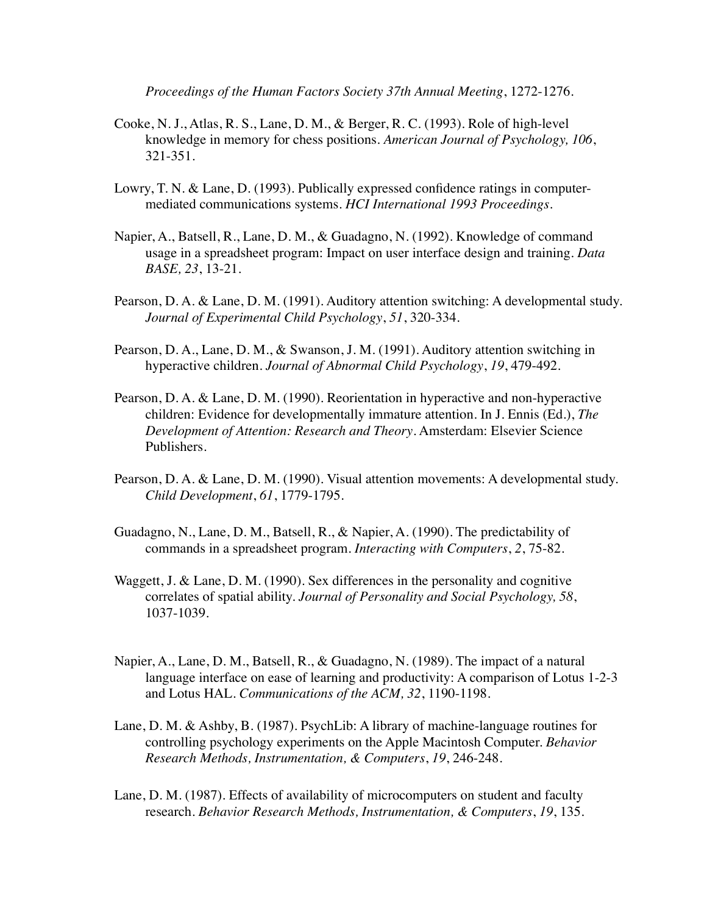*Proceedings of the Human Factors Society 37th Annual Meeting*, 1272-1276.

- Cooke, N. J., Atlas, R. S., Lane, D. M., & Berger, R. C. (1993). Role of high-level knowledge in memory for chess positions. *American Journal of Psychology, 106*, 321-351.
- Lowry, T. N. & Lane, D. (1993). Publically expressed confidence ratings in computermediated communications systems. *HCI International 1993 Proceedings*.
- Napier, A., Batsell, R., Lane, D. M., & Guadagno, N. (1992). Knowledge of command usage in a spreadsheet program: Impact on user interface design and training. *Data BASE, 23*, 13-21.
- Pearson, D. A. & Lane, D. M. (1991). Auditory attention switching: A developmental study. *Journal of Experimental Child Psychology*, *51*, 320-334.
- Pearson, D. A., Lane, D. M., & Swanson, J. M. (1991). Auditory attention switching in hyperactive children. *Journal of Abnormal Child Psychology*, *19*, 479-492.
- Pearson, D. A. & Lane, D. M. (1990). Reorientation in hyperactive and non-hyperactive children: Evidence for developmentally immature attention. In J. Ennis (Ed.), *The Development of Attention: Research and Theory*. Amsterdam: Elsevier Science Publishers.
- Pearson, D. A. & Lane, D. M. (1990). Visual attention movements: A developmental study. *Child Development*, *61*, 1779-1795.
- Guadagno, N., Lane, D. M., Batsell, R., & Napier, A. (1990). The predictability of commands in a spreadsheet program. *Interacting with Computers*, *2*, 75-82.
- Waggett, J. & Lane, D. M. (1990). Sex differences in the personality and cognitive correlates of spatial ability. *Journal of Personality and Social Psychology, 58*, 1037-1039*.*
- Napier, A., Lane, D. M., Batsell, R., & Guadagno, N. (1989). The impact of a natural language interface on ease of learning and productivity: A comparison of Lotus 1-2-3 and Lotus HAL. *Communications of the ACM, 32*, 1190-1198.
- Lane, D. M. & Ashby, B. (1987). PsychLib: A library of machine-language routines for controlling psychology experiments on the Apple Macintosh Computer. *Behavior Research Methods, Instrumentation, & Computers*, *19*, 246-248.
- Lane, D. M. (1987). Effects of availability of microcomputers on student and faculty research. *Behavior Research Methods, Instrumentation, & Computers*, *19*, 135.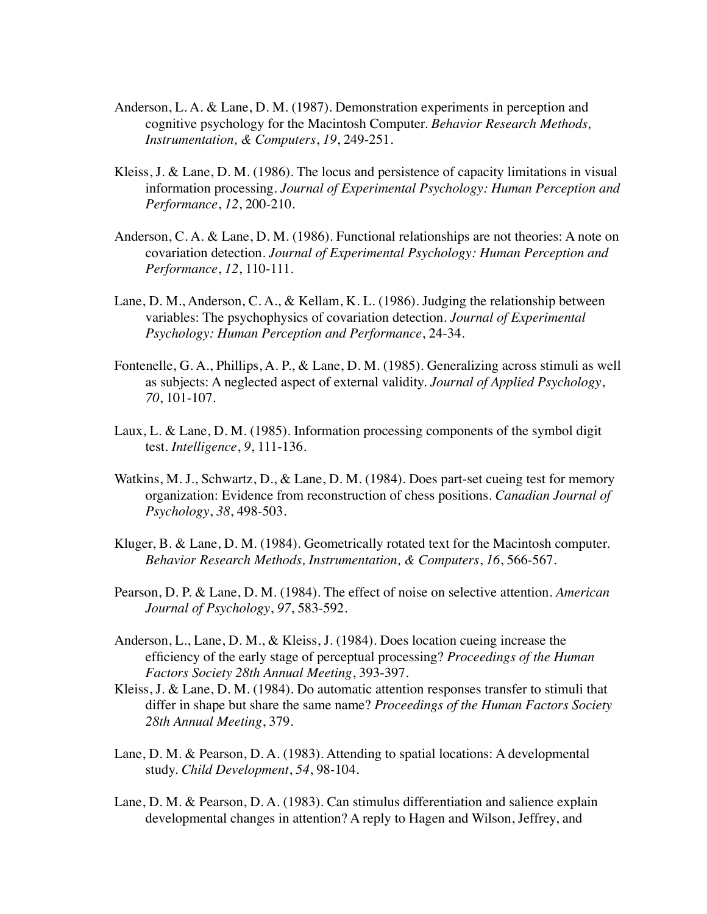- Anderson, L. A. & Lane, D. M. (1987). Demonstration experiments in perception and cognitive psychology for the Macintosh Computer. *Behavior Research Methods, Instrumentation, & Computers*, *19*, 249-251.
- Kleiss, J. & Lane, D. M. (1986). The locus and persistence of capacity limitations in visual information processing. *Journal of Experimental Psychology: Human Perception and Performance*, *12*, 200-210.
- Anderson, C. A. & Lane, D. M. (1986). Functional relationships are not theories: A note on covariation detection. *Journal of Experimental Psychology: Human Perception and Performance*, *12*, 110-111.
- Lane, D. M., Anderson, C. A., & Kellam, K. L. (1986). Judging the relationship between variables: The psychophysics of covariation detection. *Journal of Experimental Psychology: Human Perception and Performance*, 24-34.
- Fontenelle, G. A., Phillips, A. P., & Lane, D. M. (1985). Generalizing across stimuli as well as subjects: A neglected aspect of external validity. *Journal of Applied Psychology*, *70*, 101-107.
- Laux, L. & Lane, D. M. (1985). Information processing components of the symbol digit test. *Intelligence*, *9*, 111-136.
- Watkins, M. J., Schwartz, D., & Lane, D. M. (1984). Does part-set cueing test for memory organization: Evidence from reconstruction of chess positions. *Canadian Journal of Psychology*, *38*, 498-503.
- Kluger, B. & Lane, D. M. (1984). Geometrically rotated text for the Macintosh computer. *Behavior Research Methods, Instrumentation, & Computers*, *16*, 566-567.
- Pearson, D. P. & Lane, D. M. (1984). The effect of noise on selective attention. *American Journal of Psychology*, *97*, 583-592.
- Anderson, L., Lane, D. M., & Kleiss, J. (1984). Does location cueing increase the efficiency of the early stage of perceptual processing? *Proceedings of the Human Factors Society 28th Annual Meeting*, 393-397.
- Kleiss, J. & Lane, D. M. (1984). Do automatic attention responses transfer to stimuli that differ in shape but share the same name? *Proceedings of the Human Factors Society 28th Annual Meeting*, 379.
- Lane, D. M. & Pearson, D. A. (1983). Attending to spatial locations: A developmental study. *Child Development*, *54*, 98-104.
- Lane, D. M. & Pearson, D. A. (1983). Can stimulus differentiation and salience explain developmental changes in attention? A reply to Hagen and Wilson, Jeffrey, and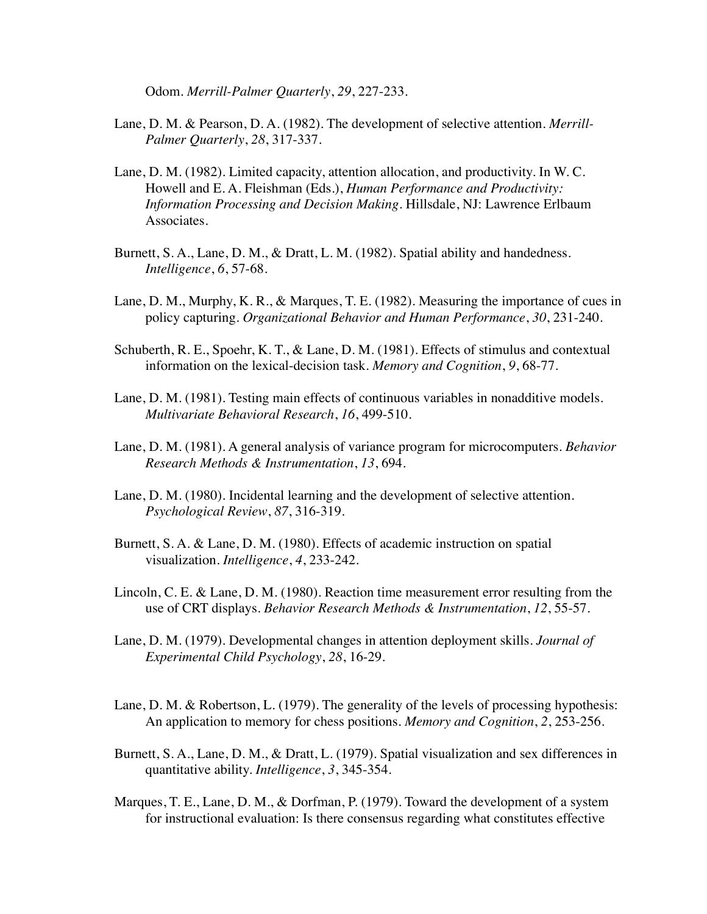Odom. *Merrill-Palmer Quarterly*, *29*, 227-233.

- Lane, D. M. & Pearson, D. A. (1982). The development of selective attention. *Merrill-Palmer Quarterly*, *28*, 317-337.
- Lane, D. M. (1982). Limited capacity, attention allocation, and productivity. In W. C. Howell and E. A. Fleishman (Eds.), *Human Performance and Productivity: Information Processing and Decision Making*. Hillsdale, NJ: Lawrence Erlbaum Associates.
- Burnett, S. A., Lane, D. M., & Dratt, L. M. (1982). Spatial ability and handedness. *Intelligence*, *6*, 57-68.
- Lane, D. M., Murphy, K. R., & Marques, T. E. (1982). Measuring the importance of cues in policy capturing. *Organizational Behavior and Human Performance*, *30*, 231-240.
- Schuberth, R. E., Spoehr, K. T., & Lane, D. M. (1981). Effects of stimulus and contextual information on the lexical-decision task. *Memory and Cognition*, *9*, 68-77.
- Lane, D. M. (1981). Testing main effects of continuous variables in nonadditive models. *Multivariate Behavioral Research*, *16*, 499-510.
- Lane, D. M. (1981). A general analysis of variance program for microcomputers. *Behavior Research Methods & Instrumentation*, *13*, 694.
- Lane, D. M. (1980). Incidental learning and the development of selective attention. *Psychological Review*, *87*, 316-319.
- Burnett, S. A. & Lane, D. M. (1980). Effects of academic instruction on spatial visualization. *Intelligence*, *4*, 233-242.
- Lincoln, C. E. & Lane, D. M. (1980). Reaction time measurement error resulting from the use of CRT displays. *Behavior Research Methods & Instrumentation*, *12*, 55-57.
- Lane, D. M. (1979). Developmental changes in attention deployment skills. *Journal of Experimental Child Psychology*, *28*, 16-29.
- Lane, D. M. & Robertson, L. (1979). The generality of the levels of processing hypothesis: An application to memory for chess positions. *Memory and Cognition*, *2*, 253-256.
- Burnett, S. A., Lane, D. M., & Dratt, L. (1979). Spatial visualization and sex differences in quantitative ability. *Intelligence*, *3*, 345-354.
- Marques, T. E., Lane, D. M., & Dorfman, P. (1979). Toward the development of a system for instructional evaluation: Is there consensus regarding what constitutes effective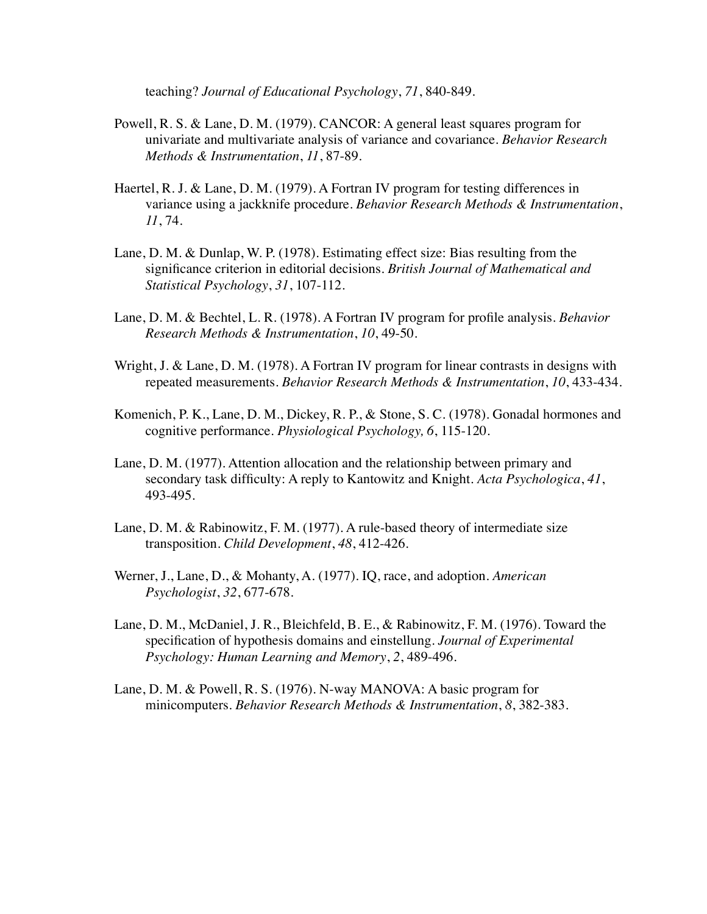teaching? *Journal of Educational Psychology*, *71*, 840-849.

- Powell, R. S. & Lane, D. M. (1979). CANCOR: A general least squares program for univariate and multivariate analysis of variance and covariance. *Behavior Research Methods & Instrumentation*, *11*, 87-89.
- Haertel, R. J. & Lane, D. M. (1979). A Fortran IV program for testing differences in variance using a jackknife procedure. *Behavior Research Methods & Instrumentation*, *11*, 74.
- Lane, D. M. & Dunlap, W. P. (1978). Estimating effect size: Bias resulting from the significance criterion in editorial decisions. *British Journal of Mathematical and Statistical Psychology*, *31*, 107-112.
- Lane, D. M. & Bechtel, L. R. (1978). A Fortran IV program for profile analysis. *Behavior Research Methods & Instrumentation*, *10*, 49-50.
- Wright, J. & Lane, D. M. (1978). A Fortran IV program for linear contrasts in designs with repeated measurements. *Behavior Research Methods & Instrumentation*, *10*, 433-434.
- Komenich, P. K., Lane, D. M., Dickey, R. P., & Stone, S. C. (1978). Gonadal hormones and cognitive performance. *Physiological Psychology, 6*, 115-120.
- Lane, D. M. (1977). Attention allocation and the relationship between primary and secondary task difficulty: A reply to Kantowitz and Knight. *Acta Psychologica*, *41*, 493-495.
- Lane, D. M. & Rabinowitz, F. M. (1977). A rule-based theory of intermediate size transposition. *Child Development*, *48*, 412-426.
- Werner, J., Lane, D., & Mohanty, A. (1977). IQ, race, and adoption. *American Psychologist*, *32*, 677-678.
- Lane, D. M., McDaniel, J. R., Bleichfeld, B. E., & Rabinowitz, F. M. (1976). Toward the specification of hypothesis domains and einstellung. *Journal of Experimental Psychology: Human Learning and Memory*, *2*, 489-496.
- Lane, D. M. & Powell, R. S. (1976). N-way MANOVA: A basic program for minicomputers. *Behavior Research Methods & Instrumentation*, *8*, 382-383.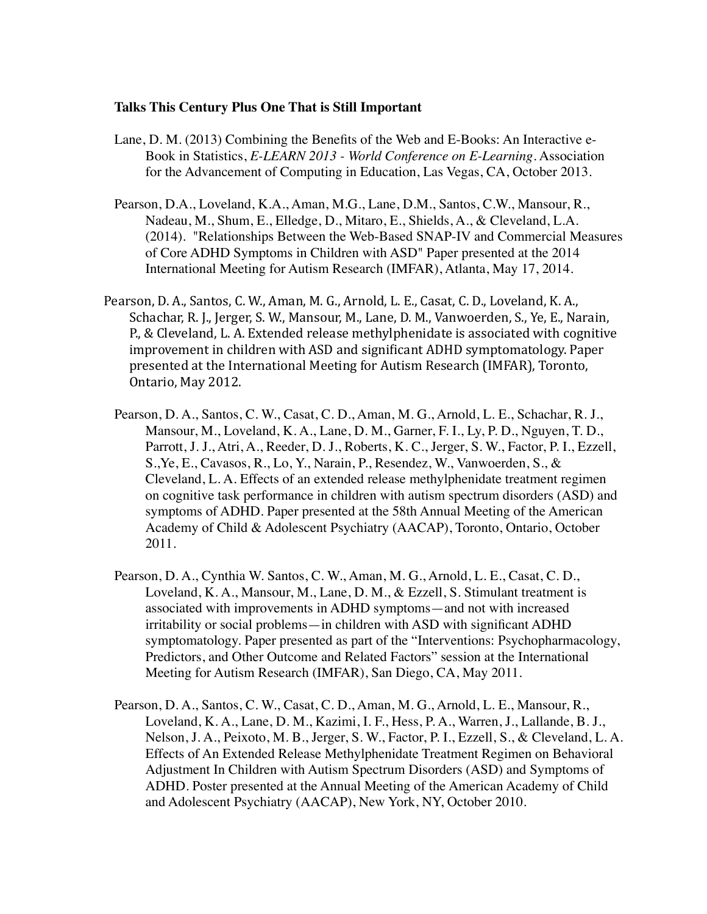## **Talks This Century Plus One That is Still Important**

- Lane, D. M. (2013) Combining the Benefits of the Web and E-Books: An Interactive e-Book in Statistics, *E-LEARN 2013 - World Conference on E-Learning*. Association for the Advancement of Computing in Education, Las Vegas, CA, October 2013.
- Pearson, D.A., Loveland, K.A., Aman, M.G., Lane, D.M., Santos, C.W., Mansour, R., Nadeau, M., Shum, E., Elledge, D., Mitaro, E., Shields, A., & Cleveland, L.A. (2014). "Relationships Between the Web-Based SNAP-IV and Commercial Measures of Core ADHD Symptoms in Children with ASD" Paper presented at the 2014 International Meeting for Autism Research (IMFAR), Atlanta, May 17, 2014.
- Pearson, D. A., Santos, C. W., Aman, M. G., Arnold, L. E., Casat, C. D., Loveland, K. A., Schachar, R. J., Jerger, S. W., Mansour, M., Lane, D. M., Vanwoerden, S., Ye, E., Narain, P., & Cleveland, L. A. Extended release methylphenidate is associated with cognitive improvement in children with ASD and significant ADHD symptomatology. Paper presented at the International Meeting for Autism Research (IMFAR), Toronto, Ontario, May 2012.
	- Pearson, D. A., Santos, C. W., Casat, C. D., Aman, M. G., Arnold, L. E., Schachar, R. J., Mansour, M., Loveland, K. A., Lane, D. M., Garner, F. I., Ly, P. D., Nguyen, T. D., Parrott, J. J., Atri, A., Reeder, D. J., Roberts, K. C., Jerger, S. W., Factor, P. I., Ezzell, S.,Ye, E., Cavasos, R., Lo, Y., Narain, P., Resendez, W., Vanwoerden, S., & Cleveland, L. A. Effects of an extended release methylphenidate treatment regimen on cognitive task performance in children with autism spectrum disorders (ASD) and symptoms of ADHD. Paper presented at the 58th Annual Meeting of the American Academy of Child & Adolescent Psychiatry (AACAP), Toronto, Ontario, October 2011.
	- Pearson, D. A., Cynthia W. Santos, C. W., Aman, M. G., Arnold, L. E., Casat, C. D., Loveland, K. A., Mansour, M., Lane, D. M., & Ezzell, S. Stimulant treatment is associated with improvements in ADHD symptoms—and not with increased irritability or social problems—in children with ASD with significant ADHD symptomatology. Paper presented as part of the "Interventions: Psychopharmacology, Predictors, and Other Outcome and Related Factors" session at the International Meeting for Autism Research (IMFAR), San Diego, CA, May 2011.
	- Pearson, D. A., Santos, C. W., Casat, C. D., Aman, M. G., Arnold, L. E., Mansour, R., Loveland, K. A., Lane, D. M., Kazimi, I. F., Hess, P. A., Warren, J., Lallande, B. J., Nelson, J. A., Peixoto, M. B., Jerger, S. W., Factor, P. I., Ezzell, S., & Cleveland, L. A. Effects of An Extended Release Methylphenidate Treatment Regimen on Behavioral Adjustment In Children with Autism Spectrum Disorders (ASD) and Symptoms of ADHD. Poster presented at the Annual Meeting of the American Academy of Child and Adolescent Psychiatry (AACAP), New York, NY, October 2010.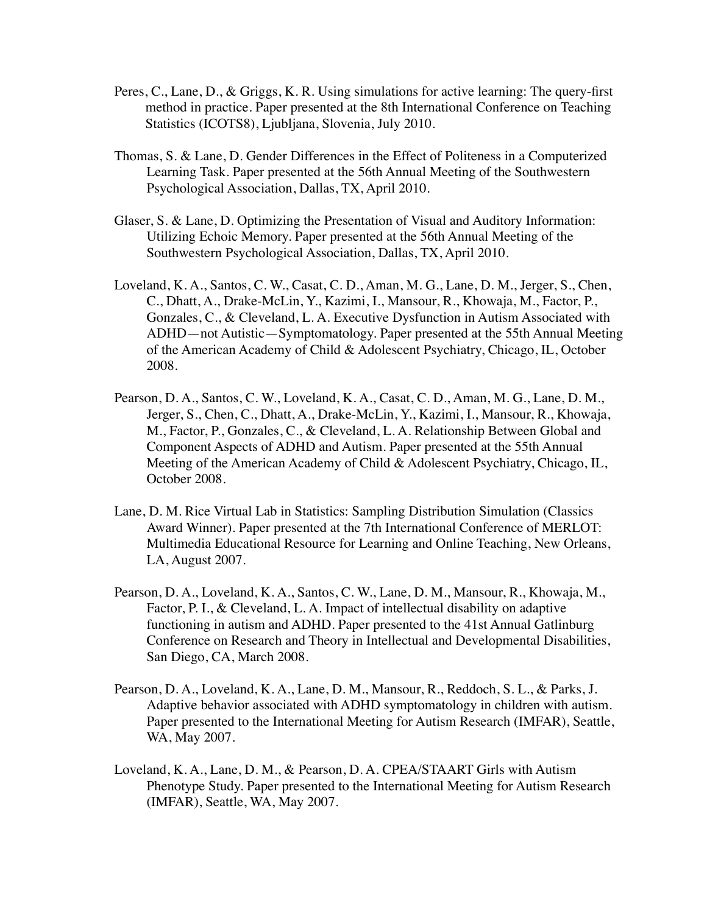- Peres, C., Lane, D., & Griggs, K. R. Using simulations for active learning: The query-first method in practice. Paper presented at the 8th International Conference on Teaching Statistics (ICOTS8), Ljubljana, Slovenia, July 2010.
- Thomas, S. & Lane, D. Gender Differences in the Effect of Politeness in a Computerized Learning Task. Paper presented at the 56th Annual Meeting of the Southwestern Psychological Association, Dallas, TX, April 2010.
- Glaser, S. & Lane, D. Optimizing the Presentation of Visual and Auditory Information: Utilizing Echoic Memory. Paper presented at the 56th Annual Meeting of the Southwestern Psychological Association, Dallas, TX, April 2010.
- Loveland, K. A., Santos, C. W., Casat, C. D., Aman, M. G., Lane, D. M., Jerger, S., Chen, C., Dhatt, A., Drake-McLin, Y., Kazimi, I., Mansour, R., Khowaja, M., Factor, P., Gonzales, C., & Cleveland, L. A. Executive Dysfunction in Autism Associated with ADHD—not Autistic—Symptomatology. Paper presented at the 55th Annual Meeting of the American Academy of Child & Adolescent Psychiatry, Chicago, IL, October 2008.
- Pearson, D. A., Santos, C. W., Loveland, K. A., Casat, C. D., Aman, M. G., Lane, D. M., Jerger, S., Chen, C., Dhatt, A., Drake-McLin, Y., Kazimi, I., Mansour, R., Khowaja, M., Factor, P., Gonzales, C., & Cleveland, L. A. Relationship Between Global and Component Aspects of ADHD and Autism. Paper presented at the 55th Annual Meeting of the American Academy of Child & Adolescent Psychiatry, Chicago, IL, October 2008.
- Lane, D. M. Rice Virtual Lab in Statistics: Sampling Distribution Simulation (Classics Award Winner). Paper presented at the 7th International Conference of MERLOT: Multimedia Educational Resource for Learning and Online Teaching, New Orleans, LA, August 2007.
- Pearson, D. A., Loveland, K. A., Santos, C. W., Lane, D. M., Mansour, R., Khowaja, M., Factor, P. I., & Cleveland, L. A. Impact of intellectual disability on adaptive functioning in autism and ADHD. Paper presented to the 41st Annual Gatlinburg Conference on Research and Theory in Intellectual and Developmental Disabilities, San Diego, CA, March 2008.
- Pearson, D. A., Loveland, K. A., Lane, D. M., Mansour, R., Reddoch, S. L., & Parks, J. Adaptive behavior associated with ADHD symptomatology in children with autism. Paper presented to the International Meeting for Autism Research (IMFAR), Seattle, WA, May 2007.
- Loveland, K. A., Lane, D. M., & Pearson, D. A. CPEA/STAART Girls with Autism Phenotype Study. Paper presented to the International Meeting for Autism Research (IMFAR), Seattle, WA, May 2007.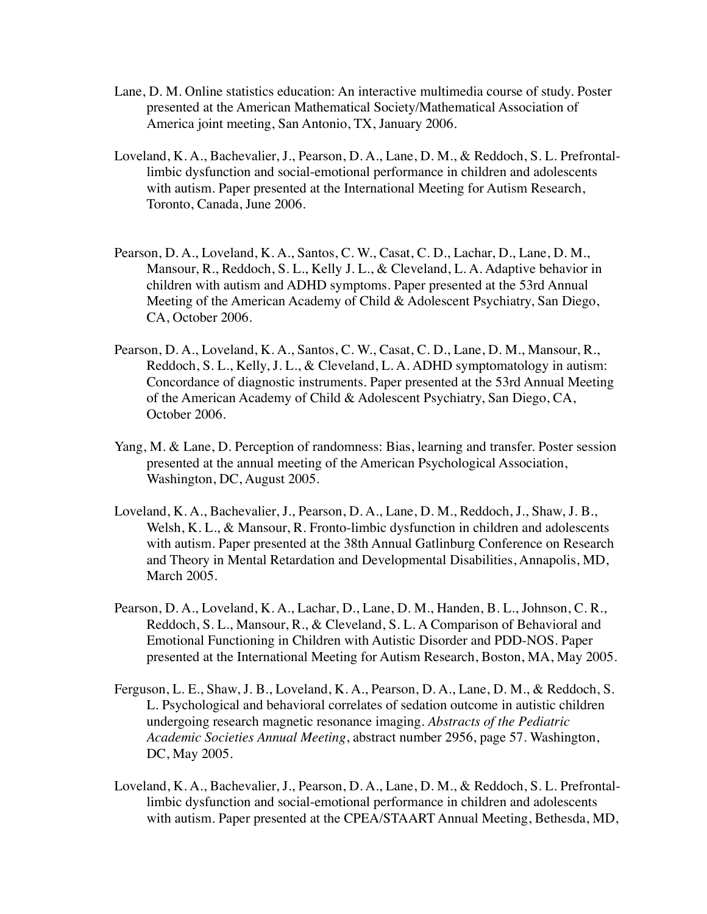- Lane, D. M. Online statistics education: An interactive multimedia course of study. Poster presented at the American Mathematical Society/Mathematical Association of America joint meeting, San Antonio, TX, January 2006.
- Loveland, K. A., Bachevalier, J., Pearson, D. A., Lane, D. M., & Reddoch, S. L. Prefrontallimbic dysfunction and social-emotional performance in children and adolescents with autism. Paper presented at the International Meeting for Autism Research, Toronto, Canada, June 2006.
- Pearson, D. A., Loveland, K. A., Santos, C. W., Casat, C. D., Lachar, D., Lane, D. M., Mansour, R., Reddoch, S. L., Kelly J. L., & Cleveland, L. A. Adaptive behavior in children with autism and ADHD symptoms. Paper presented at the 53rd Annual Meeting of the American Academy of Child & Adolescent Psychiatry, San Diego, CA, October 2006.
- Pearson, D. A., Loveland, K. A., Santos, C. W., Casat, C. D., Lane, D. M., Mansour, R., Reddoch, S. L., Kelly, J. L., & Cleveland, L. A. ADHD symptomatology in autism: Concordance of diagnostic instruments. Paper presented at the 53rd Annual Meeting of the American Academy of Child & Adolescent Psychiatry, San Diego, CA, October 2006.
- Yang, M. & Lane, D. Perception of randomness: Bias, learning and transfer. Poster session presented at the annual meeting of the American Psychological Association, Washington, DC, August 2005.
- Loveland, K. A., Bachevalier, J., Pearson, D. A., Lane, D. M., Reddoch, J., Shaw, J. B., Welsh, K. L., & Mansour, R. Fronto-limbic dysfunction in children and adolescents with autism. Paper presented at the 38th Annual Gatlinburg Conference on Research and Theory in Mental Retardation and Developmental Disabilities, Annapolis, MD, March 2005.
- Pearson, D. A., Loveland, K. A., Lachar, D., Lane, D. M., Handen, B. L., Johnson, C. R., Reddoch, S. L., Mansour, R., & Cleveland, S. L. A Comparison of Behavioral and Emotional Functioning in Children with Autistic Disorder and PDD-NOS. Paper presented at the International Meeting for Autism Research, Boston, MA, May 2005.
- Ferguson, L. E., Shaw, J. B., Loveland, K. A., Pearson, D. A., Lane, D. M., & Reddoch, S. L. Psychological and behavioral correlates of sedation outcome in autistic children undergoing research magnetic resonance imaging. *Abstracts of the Pediatric Academic Societies Annual Meeting*, abstract number 2956, page 57. Washington, DC, May 2005.
- Loveland, K. A., Bachevalier, J., Pearson, D. A., Lane, D. M., & Reddoch, S. L. Prefrontallimbic dysfunction and social-emotional performance in children and adolescents with autism. Paper presented at the CPEA/STAART Annual Meeting, Bethesda, MD,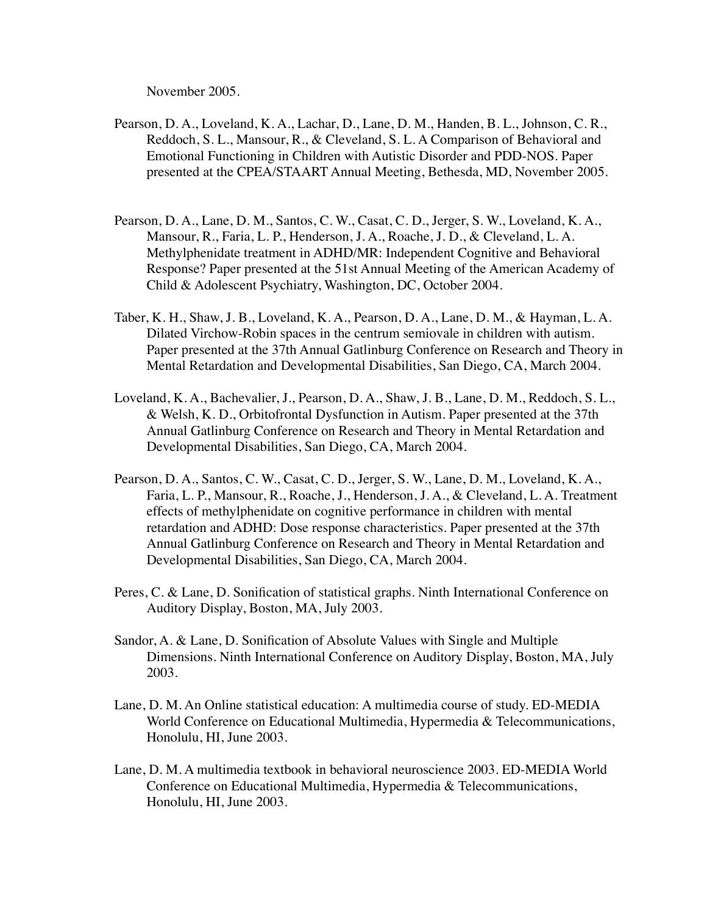November 2005.

- Pearson, D. A., Loveland, K. A., Lachar, D., Lane, D. M., Handen, B. L., Johnson, C. R., Reddoch, S. L., Mansour, R., & Cleveland, S. L. A Comparison of Behavioral and Emotional Functioning in Children with Autistic Disorder and PDD-NOS. Paper presented at the CPEA/STAART Annual Meeting, Bethesda, MD, November 2005.
- Pearson, D. A., Lane, D. M., Santos, C. W., Casat, C. D., Jerger, S. W., Loveland, K. A., Mansour, R., Faria, L. P., Henderson, J. A., Roache, J. D., & Cleveland, L. A. Methylphenidate treatment in ADHD/MR: Independent Cognitive and Behavioral Response? Paper presented at the 51st Annual Meeting of the American Academy of Child & Adolescent Psychiatry, Washington, DC, October 2004.
- Taber, K. H., Shaw, J. B., Loveland, K. A., Pearson, D. A., Lane, D. M., & Hayman, L. A. Dilated Virchow-Robin spaces in the centrum semiovale in children with autism. Paper presented at the 37th Annual Gatlinburg Conference on Research and Theory in Mental Retardation and Developmental Disabilities, San Diego, CA, March 2004.
- Loveland, K. A., Bachevalier, J., Pearson, D. A., Shaw, J. B., Lane, D. M., Reddoch, S. L., & Welsh, K. D., Orbitofrontal Dysfunction in Autism. Paper presented at the 37th Annual Gatlinburg Conference on Research and Theory in Mental Retardation and Developmental Disabilities, San Diego, CA, March 2004.
- Pearson, D. A., Santos, C. W., Casat, C. D., Jerger, S. W., Lane, D. M., Loveland, K. A., Faria, L. P., Mansour, R., Roache, J., Henderson, J. A., & Cleveland, L. A. Treatment effects of methylphenidate on cognitive performance in children with mental retardation and ADHD: Dose response characteristics. Paper presented at the 37th Annual Gatlinburg Conference on Research and Theory in Mental Retardation and Developmental Disabilities, San Diego, CA, March 2004.
- Peres, C. & Lane, D. Sonification of statistical graphs. Ninth International Conference on Auditory Display, Boston, MA, July 2003.
- Sandor, A. & Lane, D. Sonification of Absolute Values with Single and Multiple Dimensions. Ninth International Conference on Auditory Display, Boston, MA, July 2003.
- Lane, D. M. An Online statistical education: A multimedia course of study. ED-MEDIA World Conference on Educational Multimedia, Hypermedia & Telecommunications, Honolulu, HI, June 2003.
- Lane, D. M. A multimedia textbook in behavioral neuroscience 2003. ED-MEDIA World Conference on Educational Multimedia, Hypermedia & Telecommunications, Honolulu, HI, June 2003.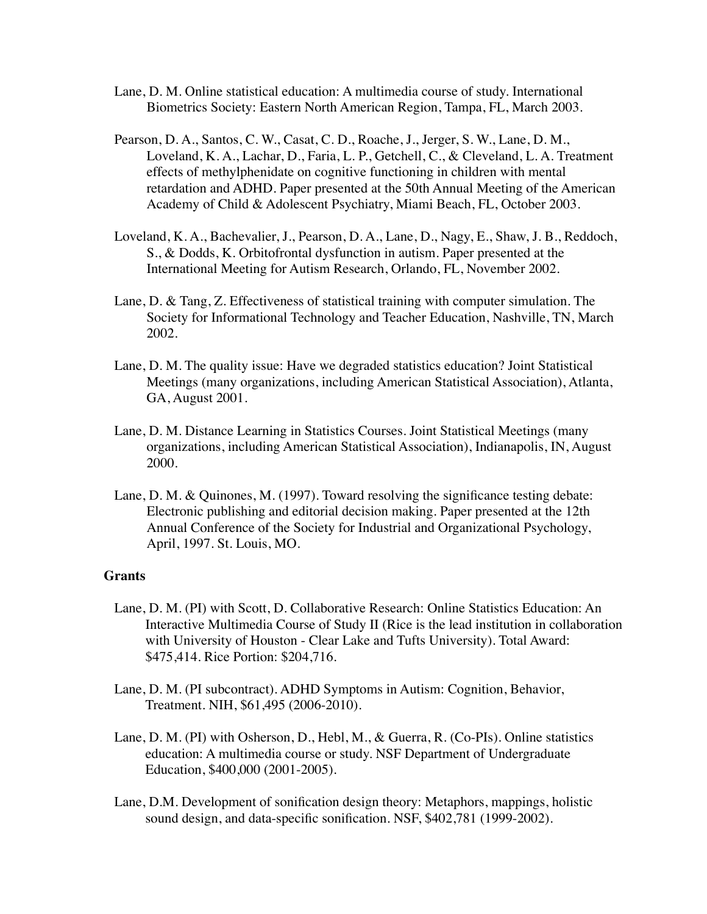- Lane, D. M. Online statistical education: A multimedia course of study. International Biometrics Society: Eastern North American Region, Tampa, FL, March 2003.
- Pearson, D. A., Santos, C. W., Casat, C. D., Roache, J., Jerger, S. W., Lane, D. M., Loveland, K. A., Lachar, D., Faria, L. P., Getchell, C., & Cleveland, L. A. Treatment effects of methylphenidate on cognitive functioning in children with mental retardation and ADHD. Paper presented at the 50th Annual Meeting of the American Academy of Child & Adolescent Psychiatry, Miami Beach, FL, October 2003.
- Loveland, K. A., Bachevalier, J., Pearson, D. A., Lane, D., Nagy, E., Shaw, J. B., Reddoch, S., & Dodds, K. Orbitofrontal dysfunction in autism. Paper presented at the International Meeting for Autism Research, Orlando, FL, November 2002.
- Lane, D. & Tang, Z. Effectiveness of statistical training with computer simulation. The Society for Informational Technology and Teacher Education, Nashville, TN, March 2002.
- Lane, D. M. The quality issue: Have we degraded statistics education? Joint Statistical Meetings (many organizations, including American Statistical Association), Atlanta, GA, August 2001.
- Lane, D. M. Distance Learning in Statistics Courses. Joint Statistical Meetings (many organizations, including American Statistical Association), Indianapolis, IN, August 2000.
- Lane, D. M. & Quinones, M. (1997). Toward resolving the significance testing debate: Electronic publishing and editorial decision making. Paper presented at the 12th Annual Conference of the Society for Industrial and Organizational Psychology, April, 1997. St. Louis, MO.

#### **Grants**

- Lane, D. M. (PI) with Scott, D. Collaborative Research: Online Statistics Education: An Interactive Multimedia Course of Study II (Rice is the lead institution in collaboration with University of Houston - Clear Lake and Tufts University). Total Award: \$475,414. Rice Portion: \$204,716.
- Lane, D. M. (PI subcontract). ADHD Symptoms in Autism: Cognition, Behavior, Treatment. NIH, \$61,495 (2006-2010).
- Lane, D. M. (PI) with Osherson, D., Hebl, M., & Guerra, R. (Co-PIs). Online statistics education: A multimedia course or study. NSF Department of Undergraduate Education, \$400,000 (2001-2005).
- Lane, D.M. Development of sonification design theory: Metaphors, mappings, holistic sound design, and data-specific sonification. NSF, \$402,781 (1999-2002).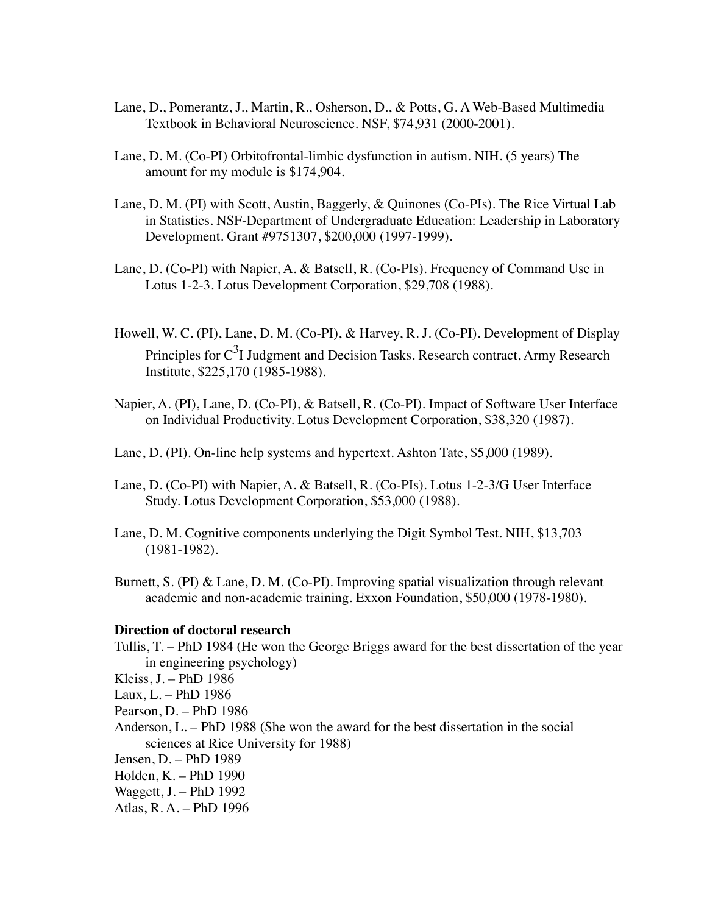- Lane, D., Pomerantz, J., Martin, R., Osherson, D., & Potts, G. A Web-Based Multimedia Textbook in Behavioral Neuroscience. NSF, \$74,931 (2000-2001).
- Lane, D. M. (Co-PI) Orbitofrontal-limbic dysfunction in autism. NIH. (5 years) The amount for my module is \$174,904.
- Lane, D. M. (PI) with Scott, Austin, Baggerly, & Quinones (Co-PIs). The Rice Virtual Lab in Statistics. NSF-Department of Undergraduate Education: Leadership in Laboratory Development. Grant #9751307, \$200,000 (1997-1999).
- Lane, D. (Co-PI) with Napier, A. & Batsell, R. (Co-PIs). Frequency of Command Use in Lotus 1-2-3. Lotus Development Corporation, \$29,708 (1988).
- Howell, W. C. (PI), Lane, D. M. (Co-PI), & Harvey, R. J. (Co-PI). Development of Display Principles for  $C^3$ I Judgment and Decision Tasks. Research contract, Army Research Institute, \$225,170 (1985-1988).
- Napier, A. (PI), Lane, D. (Co-PI), & Batsell, R. (Co-PI). Impact of Software User Interface on Individual Productivity. Lotus Development Corporation, \$38,320 (1987).
- Lane, D. (PI). On-line help systems and hypertext. Ashton Tate, \$5,000 (1989).
- Lane, D. (Co-PI) with Napier, A. & Batsell, R. (Co-PIs). Lotus 1-2-3/G User Interface Study. Lotus Development Corporation, \$53,000 (1988).
- Lane, D. M. Cognitive components underlying the Digit Symbol Test. NIH, \$13,703 (1981-1982).
- Burnett, S. (PI) & Lane, D. M. (Co-PI). Improving spatial visualization through relevant academic and non-academic training. Exxon Foundation, \$50,000 (1978-1980).

### **Direction of doctoral research**

- Tullis, T. PhD 1984 (He won the George Briggs award for the best dissertation of the year in engineering psychology)
- Kleiss, J. PhD 1986
- Laux, L. PhD 1986
- Pearson, D. PhD 1986
- Anderson, L. PhD 1988 (She won the award for the best dissertation in the social sciences at Rice University for 1988)
- Jensen, D. PhD 1989
- Holden, K. PhD 1990
- Waggett, J. PhD 1992
- Atlas, R. A. PhD 1996